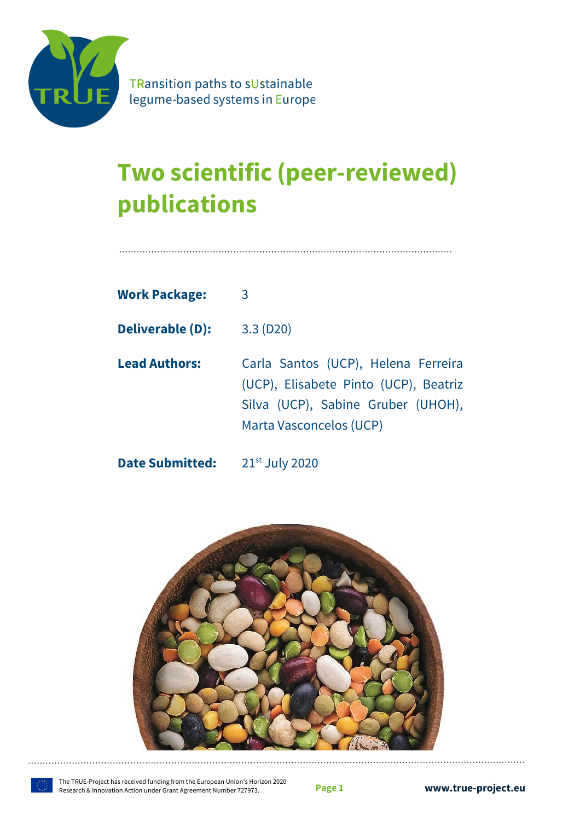

TRansition paths to sUstainable legume-based systems in Europe

# **Two scientific (peer-reviewed) publications**

| <b>Work Package:</b>    | 3                                                                                                                                             |
|-------------------------|-----------------------------------------------------------------------------------------------------------------------------------------------|
| <b>Deliverable (D):</b> | 3.3(D20)                                                                                                                                      |
| <b>Lead Authors:</b>    | Carla Santos (UCP), Helena Ferreira<br>(UCP), Elisabete Pinto (UCP), Beatriz<br>Silva (UCP), Sabine Gruber (UHOH),<br>Marta Vasconcelos (UCP) |

**Date Submitted:** 21st July 2020

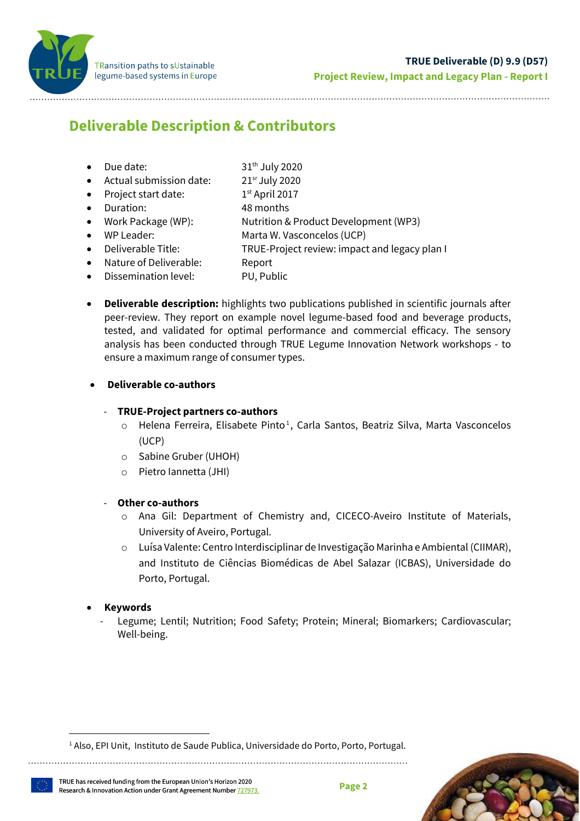

# <span id="page-1-0"></span>**Deliverable Description & Contributors**

- Due date: 31<sup>th</sup> July 2020
- Actual submission date: 21<sup>sr</sup> July 2020
- Project start date:  $1<sup>st</sup>$  April 2017
- Duration: 48 months
- Work Package (WP): Nutrition & Product Development (WP3)
	- WP Leader: Marta W. Vasconcelos (UCP)
- Deliverable Title: TRUE-Project review: impact and legacy plan I
- Nature of Deliverable: Report
- Dissemination level: PU, Public
- **Deliverable description:** highlights two publications published in scientific journals after peer-review. They report on example novel legume-based food and beverage products, tested, and validated for optimal performance and commercial efficacy. The sensory analysis has been conducted through TRUE Legume Innovation Network workshops - to ensure a maximum range of consumer types.

## • **Deliverable co-authors**

## - **TRUE-Project partners co-authors**

- $\circ$  Helena Ferreira, Elisabete Pinto<sup>1</sup>, Carla Santos, Beatriz Silva, Marta Vasconcelos (UCP)
- o Sabine Gruber (UHOH)
- o Pietro Iannetta (JHI)

## - **Other co-authors**

- o Ana Gil: Department of Chemistry and, CICECO-Aveiro Institute of Materials, University of Aveiro, Portugal.
- o Luísa Valente: Centro Interdisciplinar de Investigação Marinha e Ambiental (CIIMAR), and Instituto de Ciências Biomédicas de Abel Salazar (ICBAS), Universidade do Porto, Portugal.

## • **Keywords**

Legume; Lentil; Nutrition; Food Safety; Protein; Mineral; Biomarkers; Cardiovascular; Well-being.



<sup>&</sup>lt;sup>1</sup> Also, EPI Unit, Instituto de Saude Publica, Universidade do Porto, Porto, Portugal.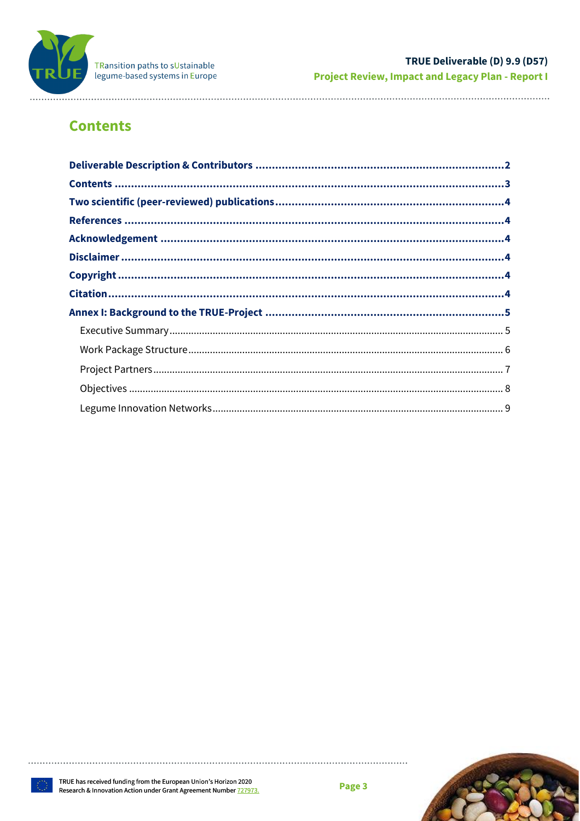

. . . . . . . . . .

# <span id="page-2-0"></span>**Contents**

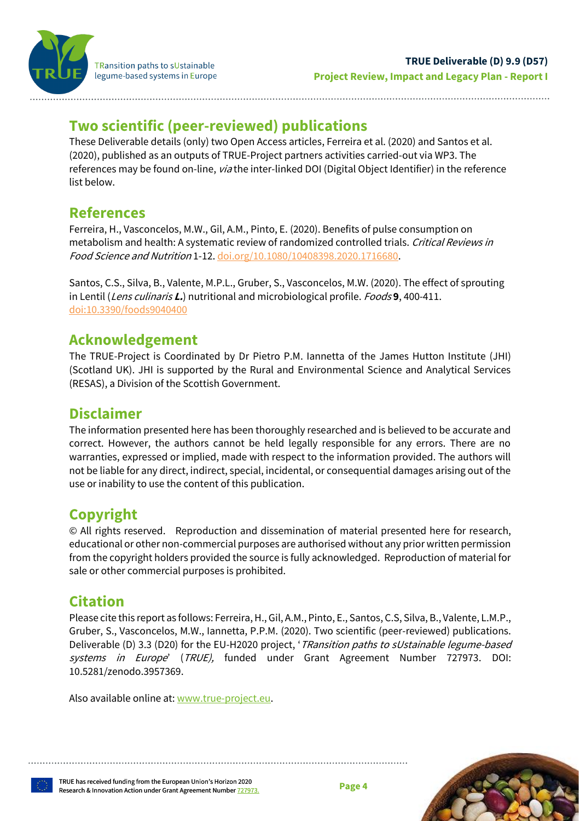

TRansition paths to sUstainable legume-based systems in Europe

# <span id="page-3-0"></span>**Two scientific (peer-reviewed) publications**

These Deliverable details (only) two Open Access articles, Ferreira et al. (2020) and Santos et al. (2020), published as an outputs of TRUE-Project partners activities carried-out via WP3. The references may be found on-line, via the inter-linked DOI (Digital Object Identifier) in the reference list below.

# <span id="page-3-1"></span>**References**

Ferreira, H., Vasconcelos, M.W., Gil, A.M., Pinto, E. (2020). Benefits of pulse consumption on metabolism and health: A systematic review of randomized controlled trials. Critical Reviews in Food Science and Nutrition 1-12. [doi.org/10.1080/10408398.2020.1716680.](https://www.tandfonline.com/doi/full/10.1080/10408398.2020.1716680)

Santos, C.S., Silva, B., Valente, M.P.L., Gruber, S., Vasconcelos, M.W. (2020). The effect of sprouting in Lentil (Lens culinaris **L.**) nutritional and microbiological profile. Foods **9**, 400-411. [doi:10.3390/foods9040400](https://www.mdpi.com/2304-8158/9/4/400)

# <span id="page-3-2"></span>**Acknowledgement**

The TRUE-Project is Coordinated by Dr Pietro P.M. Iannetta of the James Hutton Institute (JHI) (Scotland UK). JHI is supported by the Rural and Environmental Science and Analytical Services (RESAS), a Division of the Scottish Government.

# <span id="page-3-3"></span>**Disclaimer**

The information presented here has been thoroughly researched and is believed to be accurate and correct. However, the authors cannot be held legally responsible for any errors. There are no warranties, expressed or implied, made with respect to the information provided. The authors will not be liable for any direct, indirect, special, incidental, or consequential damages arising out of the use or inability to use the content of this publication.

# <span id="page-3-4"></span>**Copyright**

© All rights reserved. Reproduction and dissemination of material presented here for research, educational or other non-commercial purposes are authorised without any prior written permission from the copyright holders provided the source is fully acknowledged. Reproduction of material for sale or other commercial purposes is prohibited.

# <span id="page-3-5"></span>**Citation**

Please cite this report as follows: Ferreira,H., Gil, A.M., Pinto, E., Santos, C.S, Silva, B., Valente, L.M.P., Gruber, S., Vasconcelos, M.W., Iannetta, P.P.M. (2020). Two scientific (peer-reviewed) publications. Deliverable (D) 3.3 (D20) for the EU-H2020 project, '*TRansition paths to sUstainable legume-based* systems in Europe' (TRUE), funded under Grant Agreement Number 727973. DOI: 10.5281/zenodo.3957369.

Also available online at[: www.true-project.eu.](http://www.true-project.eu/)

TRUE has received funding from the European Union's Horizon 2020 Research & Innovation Action under Grant Agreement Number [727973.](http://cordis.europa.eu/project/rcn/210171_en.html)

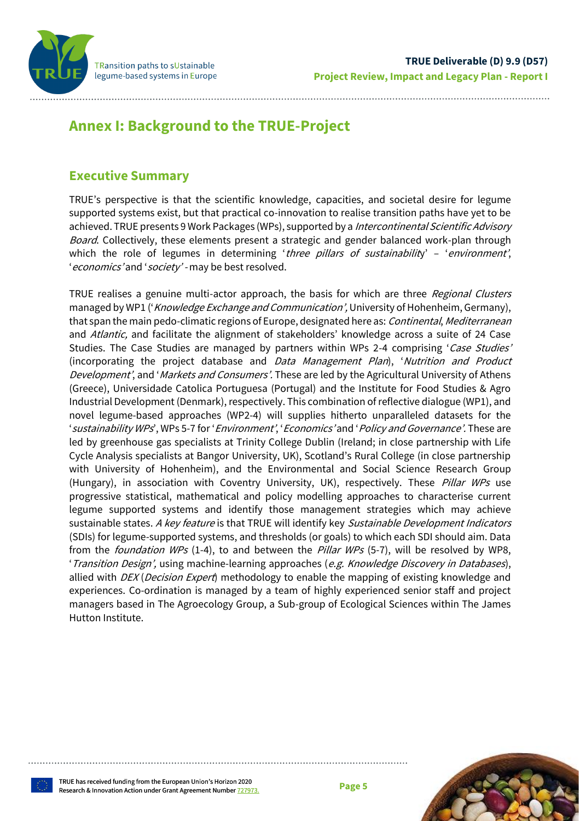

# <span id="page-4-0"></span>**Annex I: Background to the TRUE-Project**

## <span id="page-4-1"></span>**Executive Summary**

TRUE's perspective is that the scientific knowledge, capacities, and societal desire for legume supported systems exist, but that practical co-innovation to realise transition paths have yet to be achieved. TRUE presents 9 Work Packages (WPs), supported by a Intercontinental Scientific Advisory Board. Collectively, these elements present a strategic and gender balanced work-plan through which the role of legumes in determining 'three pillars of sustainability' - 'environment', 'economics' and 'society' - may be best resolved.

TRUE realises a genuine multi-actor approach, the basis for which are three Regional Clusters managed by WP1 ('Knowledge Exchange and Communication', University of Hohenheim, Germany), that span the main pedo-climatic regions of Europe, designated here as: Continental, Mediterranean and Atlantic, and facilitate the alignment of stakeholders' knowledge across a suite of 24 Case Studies. The Case Studies are managed by partners within WPs 2-4 comprising 'Case Studies' (incorporating the project database and Data Management Plan), 'Nutrition and Product Development', and 'Markets and Consumers'. These are led by the Agricultural University of Athens (Greece), Universidade Catolica Portuguesa (Portugal) and the Institute for Food Studies & Agro Industrial Development (Denmark), respectively. This combination of reflective dialogue (WP1), and novel legume-based approaches (WP2-4) will supplies hitherto unparalleled datasets for the 'sustainability WPs', WPs 5-7 for '*Environment'*, '*Economics'* and '*Policy and Governance'*. These are led by greenhouse gas specialists at Trinity College Dublin (Ireland; in close partnership with Life Cycle Analysis specialists at Bangor University, UK), Scotland's Rural College (in close partnership with University of Hohenheim), and the Environmental and Social Science Research Group (Hungary), in association with Coventry University, UK), respectively. These Pillar WPs use progressive statistical, mathematical and policy modelling approaches to characterise current legume supported systems and identify those management strategies which may achieve sustainable states. A key feature is that TRUE will identify key Sustainable Development Indicators (SDIs) for legume-supported systems, and thresholds (or goals) to which each SDI should aim. Data from the *foundation WPs* (1-4), to and between the *Pillar WPs* (5-7), will be resolved by WP8, 'Transition Design', using machine-learning approaches (e.g. Knowledge Discovery in Databases), allied with  $DEX$  (*Decision Expert*) methodology to enable the mapping of existing knowledge and experiences. Co-ordination is managed by a team of highly experienced senior staff and project managers based in The Agroecology Group, a Sub-group of Ecological Sciences within The James Hutton Institute.



TRUE has received funding from the European Union's Horizon 2020 Research & Innovation Action under Grant Agreement Number [727973.](http://cordis.europa.eu/project/rcn/210171_en.html)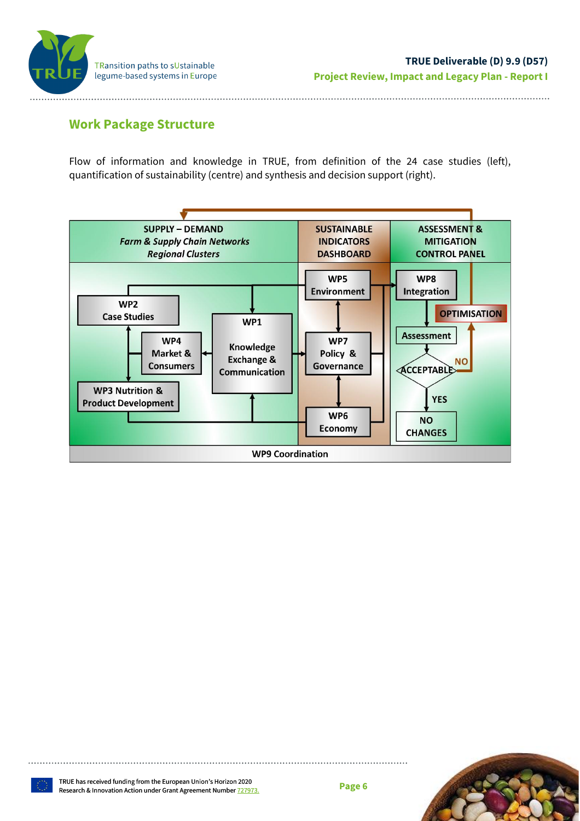

## <span id="page-5-0"></span>**Work Package Structure**

Flow of information and knowledge in TRUE, from definition of the 24 case studies (left), quantification of sustainability (centre) and synthesis and decision support (right).



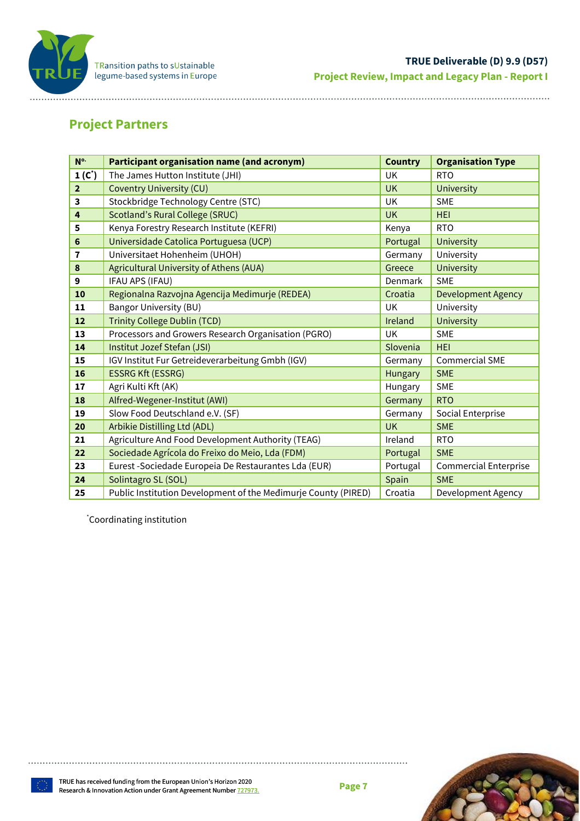

# <span id="page-6-0"></span>**Project Partners**

| N <sup>o.</sup> | <b>Participant organisation name (and acronym)</b>             | <b>Country</b> | <b>Organisation Type</b>     |
|-----------------|----------------------------------------------------------------|----------------|------------------------------|
| $1(C*)$         | The James Hutton Institute (JHI)                               | UK             | <b>RTO</b>                   |
| $\overline{2}$  | <b>Coventry University (CU)</b>                                | <b>UK</b>      | <b>University</b>            |
| 3               | Stockbridge Technology Centre (STC)                            | <b>UK</b>      | <b>SME</b>                   |
| 4               | <b>Scotland's Rural College (SRUC)</b>                         | <b>UK</b>      | <b>HEI</b>                   |
| 5               | Kenya Forestry Research Institute (KEFRI)                      | Kenya          | <b>RTO</b>                   |
| 6               | Universidade Catolica Portuguesa (UCP)                         | Portugal       | University                   |
| 7               | Universitaet Hohenheim (UHOH)                                  | Germany        | University                   |
| 8               | Agricultural University of Athens (AUA)                        | Greece         | <b>University</b>            |
| 9               | IFAU APS (IFAU)                                                | Denmark        | <b>SME</b>                   |
| 10              | Regionalna Razvojna Agencija Medimurje (REDEA)                 | Croatia        | <b>Development Agency</b>    |
| 11              | <b>Bangor University (BU)</b>                                  | UK             | University                   |
| 12              | <b>Trinity College Dublin (TCD)</b>                            | Ireland        | <b>University</b>            |
| 13              | Processors and Growers Research Organisation (PGRO)            | UK             | <b>SME</b>                   |
| 14              | Institut Jozef Stefan (JSI)                                    | Slovenia       | <b>HEI</b>                   |
| 15              | IGV Institut Fur Getreideverarbeitung Gmbh (IGV)               | Germany        | <b>Commercial SME</b>        |
| 16              | <b>ESSRG Kft (ESSRG)</b>                                       | Hungary        | <b>SME</b>                   |
| 17              | Agri Kulti Kft (AK)                                            | Hungary        | <b>SME</b>                   |
| 18              | Alfred-Wegener-Institut (AWI)                                  | Germany        | <b>RTO</b>                   |
| 19              | Slow Food Deutschland e.V. (SF)                                | Germany        | Social Enterprise            |
| 20              | Arbikie Distilling Ltd (ADL)                                   | <b>UK</b>      | <b>SME</b>                   |
| 21              | Agriculture And Food Development Authority (TEAG)              | Ireland        | <b>RTO</b>                   |
| 22              | Sociedade Agrícola do Freixo do Meio, Lda (FDM)                | Portugal       | <b>SME</b>                   |
| 23              | Eurest - Sociedade Europeia De Restaurantes Lda (EUR)          | Portugal       | <b>Commercial Enterprise</b> |
| 24              | Solintagro SL (SOL)                                            | Spain          | <b>SME</b>                   |
| 25              | Public Institution Development of the Medimurje County (PIRED) | Croatia        | Development Agency           |

\*Coordinating institution

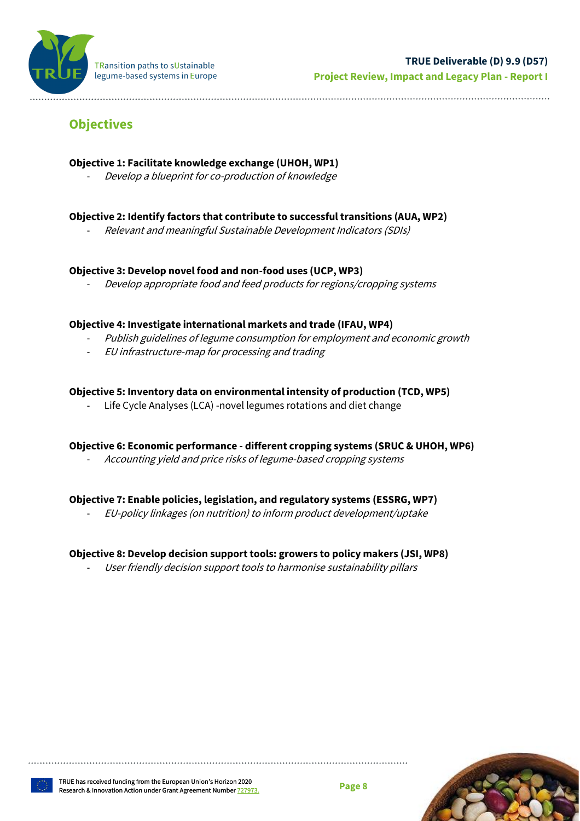

# <span id="page-7-0"></span>**Objectives**

## **Objective 1: Facilitate knowledge exchange (UHOH, WP1)**

Develop a blueprint for co-production of knowledge

## **Objective 2: Identify factors that contribute to successful transitions (AUA, WP2)**

- Relevant and meaningful Sustainable Development Indicators (SDIs)

#### **Objective 3: Develop novel food and non-food uses (UCP, WP3)**

Develop appropriate food and feed products for regions/cropping systems

#### **Objective 4: Investigate international markets and trade (IFAU, WP4)**

- Publish guidelines of legume consumption for employment and economic growth
- EU infrastructure-map for processing and trading

## **Objective 5: Inventory data on environmental intensity of production (TCD, WP5)**

Life Cycle Analyses (LCA) -novel legumes rotations and diet change

#### **Objective 6: Economic performance - different cropping systems (SRUC & UHOH, WP6)**

Accounting yield and price risks of legume-based cropping systems

#### **Objective 7: Enable policies, legislation, and regulatory systems (ESSRG, WP7)**

- EU-policy linkages (on nutrition) to inform product development/uptake

## **Objective 8: Develop decision support tools: growers to policy makers (JSI, WP8)**

User friendly decision support tools to harmonise sustainability pillars